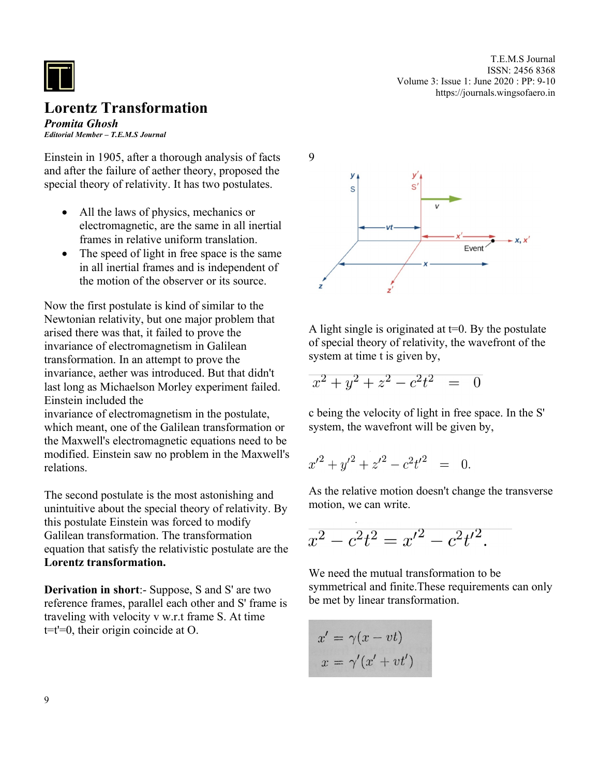

## **Lorentz Transformation**

*Promita Ghosh Editorial Member – T.E.M.S Journal*

Einstein in 1905, after a thorough analysis of facts and after the failure of aether theory, proposed the special theory of relativity. It has two postulates.

- All the laws of physics, mechanics or electromagnetic, are the same in all inertial frames in relative uniform translation.
- The speed of light in free space is the same in all inertial frames and is independent of the motion of the observer or its source.

Now the first postulate is kind of similar to the Newtonian relativity, but one major problem that arised there was that, it failed to prove the invariance of electromagnetism in Galilean transformation. In an attempt to prove the invariance, aether was introduced. But that didn't last long as Michaelson Morley experiment failed. Einstein included the

invariance of electromagnetism in the postulate, which meant, one of the Galilean transformation or the Maxwell's electromagnetic equations need to be modified. Einstein saw no problem in the Maxwell's relations.

The second postulate is the most astonishing and unintuitive about the special theory of relativity. By this postulate Einstein was forced to modify Galilean transformation. The transformation equation that satisfy the relativistic postulate are the **Lorentz transformation.**

**Derivation in short**:- Suppose, S and S' are two reference frames, parallel each other and S' frame is traveling with velocity v w.r.t frame S. At time  $t=t'=0$ , their origin coincide at O.



T.E.M.S Journal ISSN: 2456 8368

Volume 3: Issue 1: June 2020 : PP: 9-10

https://journals.wingsofaero.in

A light single is originated at  $t=0$ . By the postulate of special theory of relativity, the wavefront of the system at time t is given by,

$$
x^2 + y^2 + z^2 - c^2 t^2 = 0
$$

c being the velocity of light in free space. In the S' system, the wavefront will be given by,

$$
{x'}^2 + {y'}^2 + {z'}^2 - c^2 t'^2 = 0
$$

As the relative motion doesn't change the transverse motion, we can write.

$$
x^2 - c^2 t^2 = x'^2 - c^2 t'^2.
$$

We need the mutual transformation to be symmetrical and finite.These requirements can only be met by linear transformation.

$$
x' = \gamma(x - vt)
$$

$$
x = \gamma'(x' + vt')
$$